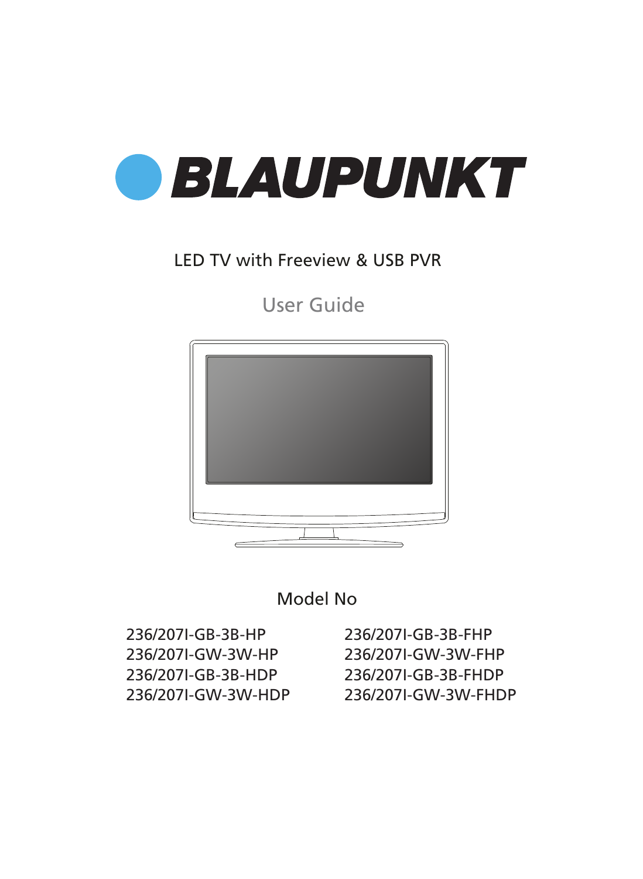

## LED TV with Freeview & USB PVR

User Guide





236/207I-GB-3B-HP 236/207I-GW-3W-HP 236/207I-GB-3B-HDP 236/207I-GW-3W-HDP

236/207I-GB-3B-FHP 236/207I-GW-3W-FHP 236/207I-GB-3B-FHDP 236/207I-GW-3W-FHDP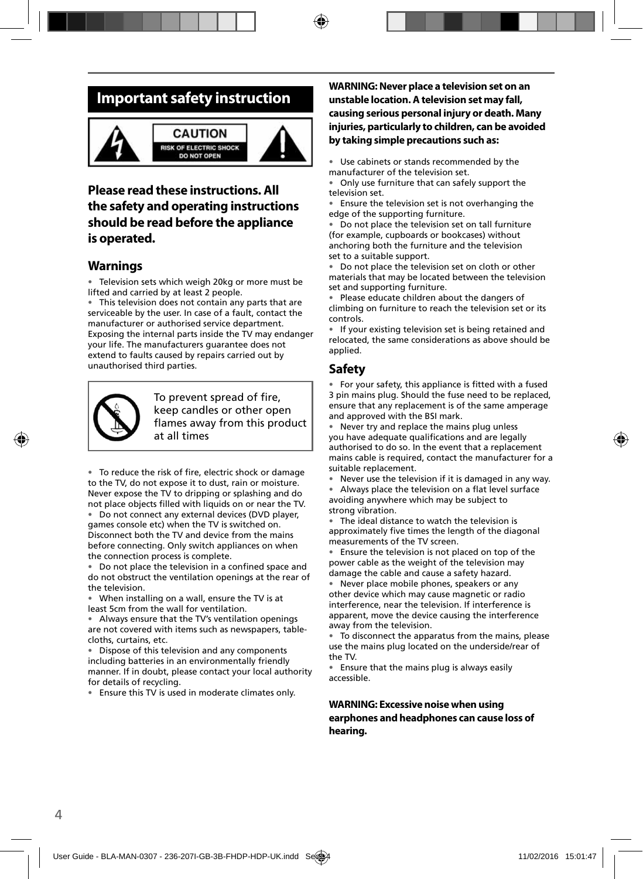## **Important safety instruction**



#### **CAUTION RISK OF ELECTRIC SHOCK DO NOT OPEN**



### **Please read these instructions. All the safety and operating instructions should be read before the appliance is operated.**

### **Warnings**

• Television sets which weigh 20kg or more must be lifted and carried by at least 2 people.

• This television does not contain any parts that are serviceable by the user. In case of a fault, contact the manufacturer or authorised service department. Exposing the internal parts inside the TV may endanger your life. The manufacturers guarantee does not extend to faults caused by repairs carried out by unauthorised third parties.



To prevent spread of fire, keep candles or other open flames away from this product at all times

• To reduce the risk of fire, electric shock or damage to the TV, do not expose it to dust, rain or moisture. Never expose the TV to dripping or splashing and do not place objects filled with liquids on or near the TV.

• Do not connect any external devices (DVD player, games console etc) when the TV is switched on. Disconnect both the TV and device from the mains before connecting. Only switch appliances on when the connection process is complete.

Do not place the television in a confined space and do not obstruct the ventilation openings at the rear of the television.

• When installing on a wall, ensure the TV is at least 5cm from the wall for ventilation.

• Always ensure that the TV's ventilation openings are not covered with items such as newspapers, tablecloths, curtains, etc.

Dispose of this television and any components including batteries in an environmentally friendly manner. If in doubt, please contact your local authority for details of recycling.

• Ensure this TV is used in moderate climates only.

#### **WARNING: Never place a television set on an unstable location. A television set may fall, causing serious personal injury or death. Many injuries, particularly to children, can be avoided by taking simple precautions such as:**

• Use cabinets or stands recommended by the manufacturer of the television set.

• Only use furniture that can safely support the television set.

Ensure the television set is not overhanging the edge of the supporting furniture.

Do not place the television set on tall furniture (for example, cupboards or bookcases) without anchoring both the furniture and the television set to a suitable support.

Do not place the television set on cloth or other materials that may be located between the television set and supporting furniture.

• Please educate children about the dangers of climbing on furniture to reach the television set or its controls.

• If your existing television set is being retained and relocated, the same considerations as above should be applied.

### **Safety**

• For your safety, this appliance is fitted with a fused 3 pin mains plug. Should the fuse need to be replaced, ensure that any replacement is of the same amperage and approved with the BSI mark.

• Never try and replace the mains plug unless you have adequate qualifications and are legally authorised to do so. In the event that a replacement mains cable is required, contact the manufacturer for a suitable replacement.

• Never use the television if it is damaged in any way.

Always place the television on a flat level surface avoiding anywhere which may be subject to strong vibration.

• The ideal distance to watch the television is approximately five times the length of the diagonal measurements of the TV screen.

• Ensure the television is not placed on top of the power cable as the weight of the television may damage the cable and cause a safety hazard.

• Never place mobile phones, speakers or any other device which may cause magnetic or radio interference, near the television. If interference is apparent, move the device causing the interference away from the television.

• To disconnect the apparatus from the mains, please use the mains plug located on the underside/rear of the TV.

• Ensure that the mains plug is always easily accessible.

**WARNING: Excessive noise when using earphones and headphones can cause loss of hearing.**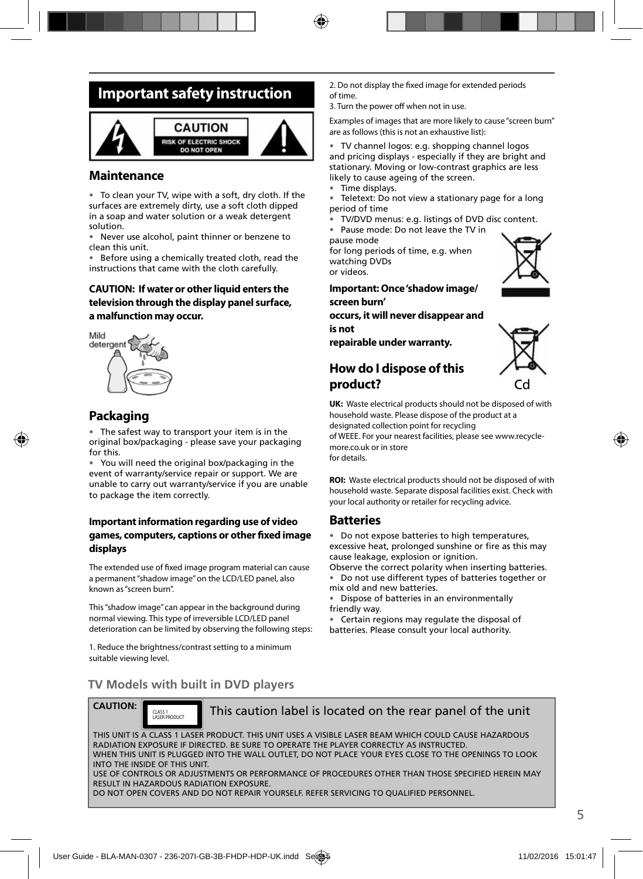## **Important safety instruction**



### **Maintenance**

• To clean your TV, wipe with a soft, dry cloth. If the surfaces are extremely dirty, use a soft cloth dipped in a soap and water solution or a weak detergent solution.

• Never use alcohol, paint thinner or benzene to clean this unit.

• Before using a chemically treated cloth, read the instructions that came with the cloth carefully.

#### **CAUTION: If water or other liquid enters the television through the display panel surface, a malfunction may occur.**



### **Packaging**

The safest way to transport your item is in the original box/packaging - please save your packaging for this.

You will need the original box/packaging in the event of warranty/service repair or support. We are unable to carry out warranty/service if you are unable to package the item correctly.

#### **Important information regarding use of video games, computers, captions or other fi xed image displays**

The extended use of fixed image program material can cause a permanent "shadow image" on the LCD/LED panel, also known as "screen burn".

This "shadow image" can appear in the background during normal viewing. This type of irreversible LCD/LED panel deterioration can be limited by observing the following steps:

1. Reduce the brightness/contrast setting to a minimum suitable viewing level.

2. Do not display the fixed image for extended periods of time.

3. Turn the power off when not in use.

Examples of images that are more likely to cause "screen burn" are as follows (this is not an exhaustive list):

• TV channel logos: e.g. shopping channel logos and pricing displays - especially if they are bright and stationary. Moving or low-contrast graphics are less likely to cause ageing of the screen.

- Time displays.
- Teletext: Do not view a stationary page for a long period of time
- TV/DVD menus: e.g. listings of DVD disc content.
- Pause mode: Do not leave the TV in

pause mode

for long periods of time, e.g. when watching DVDs or videos.

**Important: Once 'shadow image/ screen burn'** 

**occurs, it will never disappear and is not** 

**repairable under warranty.**

### **How do I dispose of this product?**



**UK:** Waste electrical products should not be disposed of with household waste. Please dispose of the product at a designated collection point for recycling

of WEEE. For your nearest facilities, please see www.recyclemore co.uk or in store for details.

**ROI:** Waste electrical products should not be disposed of with household waste. Separate disposal facilities exist. Check with your local authority or retailer for recycling advice.

#### **Batteries**

• Do not expose batteries to high temperatures, excessive heat, prolonged sunshine or fire as this may cause leakage, explosion or ignition.

Observe the correct polarity when inserting batteries.

• Do not use different types of batteries together or mix old and new batteries.

• Dispose of batteries in an environmentally friendly way.

• Certain regions may regulate the disposal of batteries. Please consult your local authority.

### **TV Models with built in DVD players**

CLASS 1<br>LASER PRODUCT

**CAUTION:**

This caution label is located on the rear panel of the unit

THIS UNIT IS A CLASS 1 LASER PRODUCT. THIS UNIT USES A VISIBLE LASER BEAM WHICH COULD CAUSE HAZARDOUS RADIATION EXPOSURE IF DIRECTED. BE SURE TO OPERATE THE PLAYER CORRECTLY AS INSTRUCTED. WHEN THIS UNIT IS PLUGGED INTO THE WALL OUTLET, DO NOT PLACE YOUR EYES CLOSE TO THE OPENINGS TO LOOK INTO THE INSIDE OF THIS UNIT. USE OF CONTROLS OR ADJUSTMENTS OR PERFORMANCE OF PROCEDURES OTHER THAN THOSE SPECIFIED HEREIN MAY RESULT IN HAZARDOUS RADIATION EXPOSURE.

DO NOT OPEN COVERS AND DO NOT REPAIR YOURSELF. REFER SERVICING TO QUALIFIED PERSONNEL.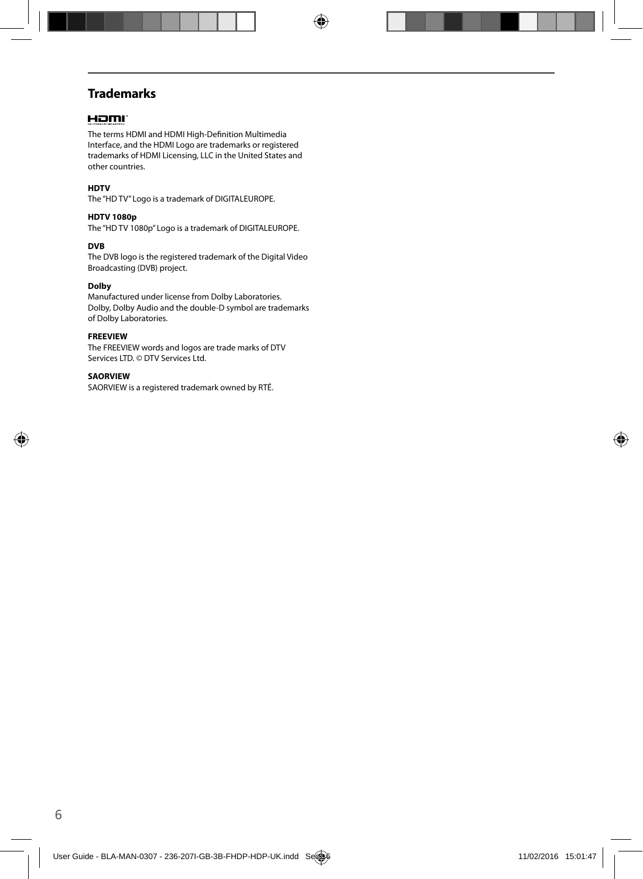### **Trademarks**

#### Hami

The terms HDMI and HDMI High-Definition Multimedia Interface, and the HDMI Logo are trademarks or registered trademarks of HDMI Licensing, LLC in the United States and other countries.

#### **HDTV**

The "HD TV" Logo is a trademark of DIGITALEUROPE.

#### **HDTV 1080p**

The "HD TV 1080p" Logo is a trademark of DIGITALEUROPE.

#### **DVB**

The DVB logo is the registered trademark of the Digital Video Broadcasting (DVB) project.

#### **Dolby**

Manufactured under license from Dolby Laboratories. Dolby, Dolby Audio and the double-D symbol are trademarks of Dolby Laboratories.

#### **FREEVIEW**

The FREEVIEW words and logos are trade marks of DTV Services LTD. © DTV Services Ltd.

#### **SAORVIEW**

SAORVIEW is a registered trademark owned by RTÉ.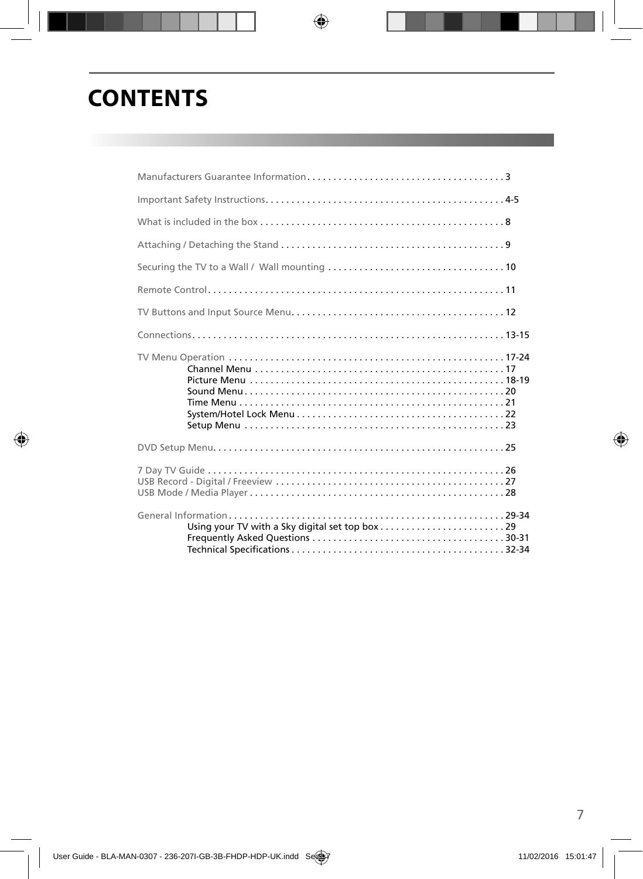# **CONTENTS**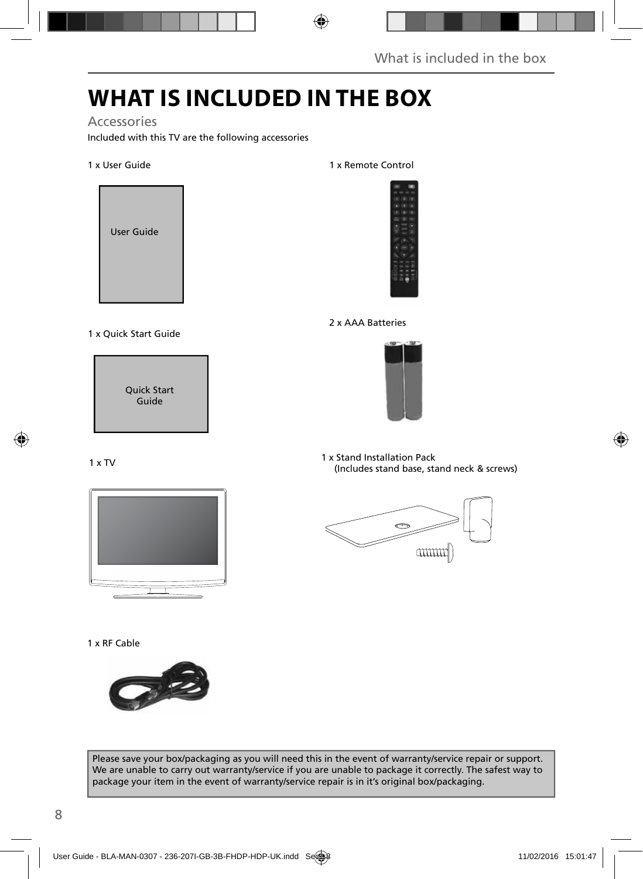# **WHAT IS INCLUDED IN THE BOX**

#### Accessories

Included with this TV are the following accessories

#### 1 x User Guide



#### 1 x Quick Start Guide



#### 1 x TV



#### 1 x RF Cable



#### 1 x Remote Control



#### 2 x AAA Batteries



1 x Stand Installation Pack (Includes stand base, stand neck & screws)



Please save your box/packaging as you will need this in the event of warranty/service repair or support. We are unable to carry out warranty/service if you are unable to package it correctly. The safest way to package your item in the event of warranty/service repair is in it's original box/packaging.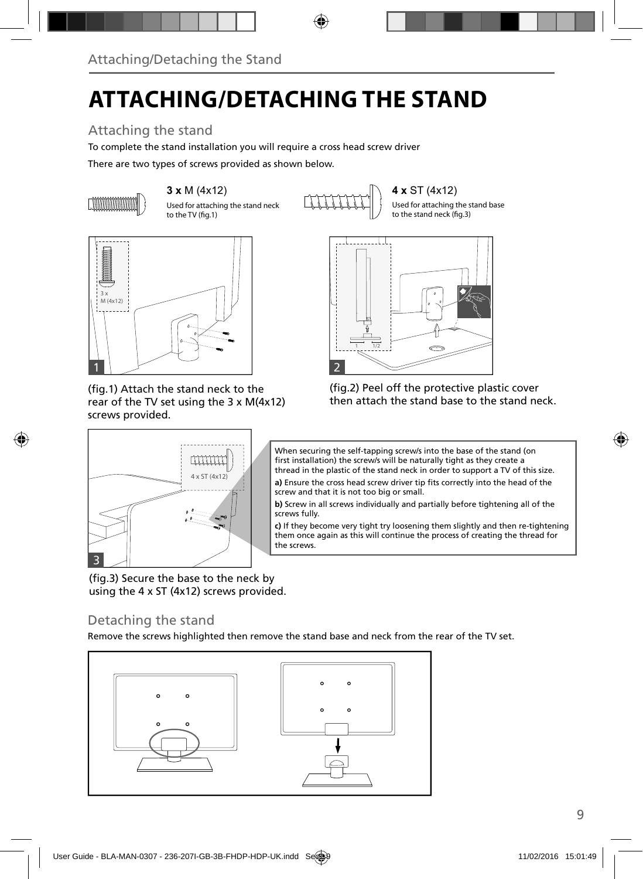# **ATTACHING/DETACHING THE STAND**

## Attaching the stand

To complete the stand installation you will require a cross head screw driver

There are two types of screws provided as shown below.



Used for attaching the stand neck to the TV (fig.1)

**3 x M (4x12)**  $\left\{\begin{matrix} 1 \\ 1 \end{matrix}\right\}$  **4 x** ST (4x12)

Used for attaching the stand base to the stand neck (fig.3)



(fig.1) Attach the stand neck to the rear of the TV set using the 3 x M(4x12) screws provided.

4 x ST (4x12)

**THITH** 



(fig.2) Peel off the protective plastic cover then attach the stand base to the stand neck.



a) Ensure the cross head screw driver tip fits correctly into the head of the screw and that it is not too big or small.

**b)** Screw in all screws individually and partially before tightening all of the screws fully.

**c)** If they become very tight try loosening them slightly and then re-tightening them once again as this will continue the process of creating the thread for the screws.

(fig.3) Secure the base to the neck by using the 4 x ST (4x12) screws provided.

### Detaching the stand

3

Remove the screws highlighted then remove the stand base and neck from the rear of the TV set.

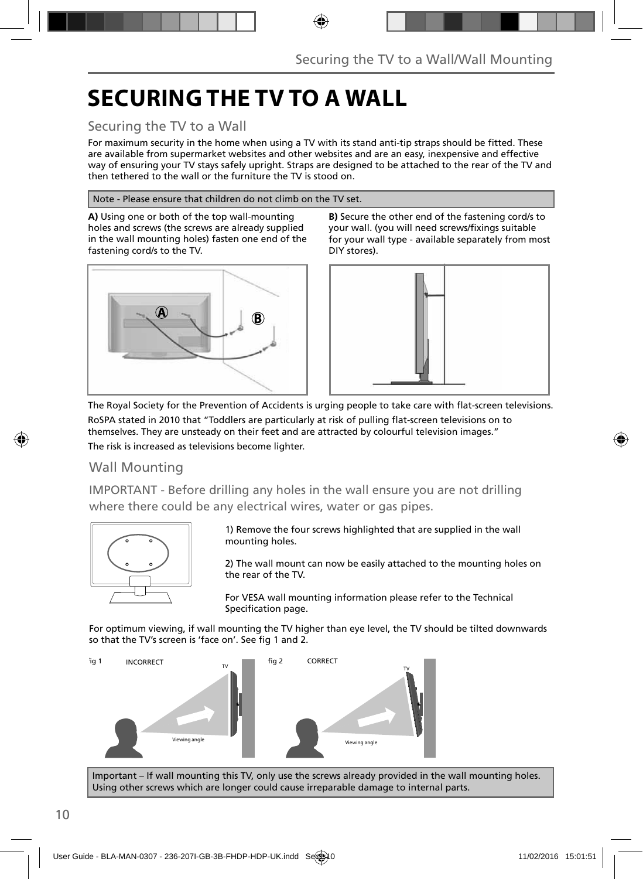# **SECURING THE TV TO A WALL**

### Securing the TV to a Wall

For maximum security in the home when using a TV with its stand anti-tip straps should be fitted. These are available from supermarket websites and other websites and are an easy, inexpensive and effective way of ensuring your TV stays safely upright. Straps are designed to be attached to the rear of the TV and then tethered to the wall or the furniture the TV is stood on.

#### Note - Please ensure that children do not climb on the TV set.

**A)** Using one or both of the top wall-mounting holes and screws (the screws are already supplied in the wall mounting holes) fasten one end of the fastening cord/s to the TV.



**B)** Secure the other end of the fastening cord/s to your wall. (you will need screws/fixings suitable for your wall type - available separately from most DIY stores).



The Royal Society for the Prevention of Accidents is urging people to take care with flat-screen televisions. RoSPA stated in 2010 that "Toddlers are particularly at risk of pulling flat-screen televisions on to themselves. They are unsteady on their feet and are attracted by colourful television images." The risk is increased as televisions become lighter.

### Wall Mounting

IMPORTANT - Before drilling any holes in the wall ensure you are not drilling where there could be any electrical wires, water or gas pipes.



1) Remove the four screws highlighted that are supplied in the wall mounting holes.

2) The wall mount can now be easily attached to the mounting holes on the rear of the TV.

For VESA wall mounting information please refer to the Technical Specification page.

For optimum viewing, if wall mounting the TV higher than eye level, the TV should be tilted downwards so that the TV's screen is 'face on'. See fig 1 and 2.



Important – If wall mounting this TV, only use the screws already provided in the wall mounting holes. Using other screws which are longer could cause irreparable damage to internal parts.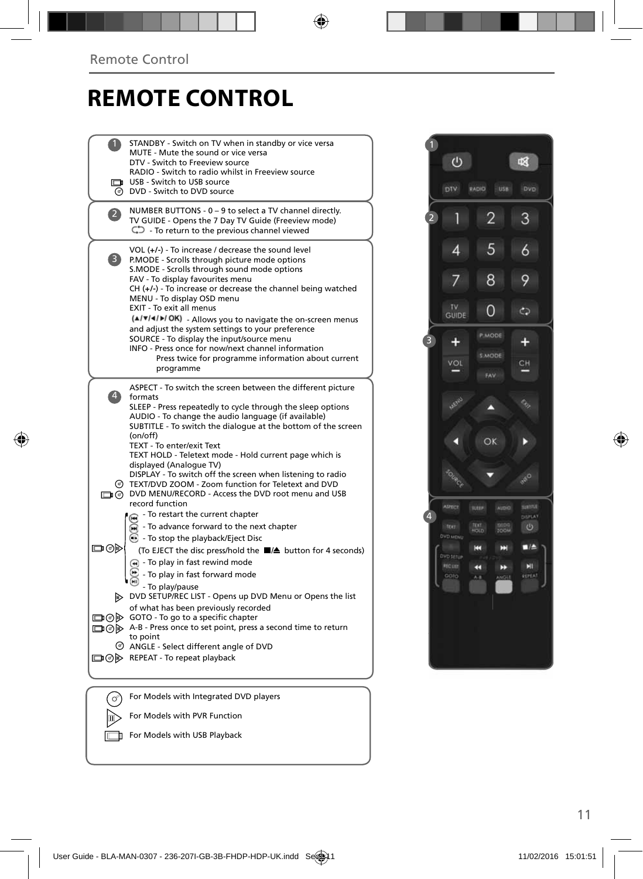# **REMOTE CONTROL**

|                          | STANDBY - Switch on TV when in standby or vice versa<br>MUTE - Mute the sound or vice versa<br>DTV - Switch to Freeview source<br>RADIO - Switch to radio whilst in Freeview source<br>USB - Switch to USB source<br>O DVD - Switch to DVD source                                                                                                                                                                                                                                                                                                                                                             |  |
|--------------------------|---------------------------------------------------------------------------------------------------------------------------------------------------------------------------------------------------------------------------------------------------------------------------------------------------------------------------------------------------------------------------------------------------------------------------------------------------------------------------------------------------------------------------------------------------------------------------------------------------------------|--|
| $\mathbf{Z}$             | NUMBER BUTTONS - 0 - 9 to select a TV channel directly.<br>TV GUIDE - Opens the 7 Day TV Guide (Freeview mode)<br>$\mathbb{C}$ - To return to the previous channel viewed                                                                                                                                                                                                                                                                                                                                                                                                                                     |  |
| 3)                       | VOL $(+/-)$ - To increase / decrease the sound level<br>P.MODE - Scrolls through picture mode options<br>S.MODE - Scrolls through sound mode options<br>FAV - To display favourites menu<br>$CH (+/-)$ - To increase or decrease the channel being watched<br>MENU - To display OSD menu<br>EXIT - To exit all menus<br>(A/V/4/M/OK) - Allows you to navigate the on-screen menus<br>and adjust the system settings to your preference<br>SOURCE - To display the input/source menu<br>INFO - Press once for now/next channel information<br>Press twice for programme information about current<br>programme |  |
| $\left  4 \right\rangle$ | ASPECT - To switch the screen between the different picture<br>formats<br>SLEEP - Press repeatedly to cycle through the sleep options<br>AUDIO - To change the audio language (if available)<br>SUBTITLE - To switch the dialogue at the bottom of the screen<br>(on/off)<br>TEXT - To enter/exit Text<br>TEXT HOLD - Teletext mode - Hold current page which is<br>displayed (Analogue TV)<br>DISPLAY - To switch off the screen when listening to radio<br>TEXT/DVD ZOOM - Zoom function for Teletext and DVD<br>DVD MENU/RECORD - Access the DVD root menu and USB<br>record function                      |  |
| య⊜⊏                      | - To restart the current chapter<br>To advance forward to the next chapter<br>$\odot$ - To stop the playback/Eject Disc<br>(To EJECT the disc press/hold the ■▲ button for 4 seconds)<br>$\left( \widehat{)}$ - To play in fast rewind mode<br>- To play in fast forward mode<br>- To play/pause<br>DVD SETUP/REC LIST - Opens up DVD Menu or Opens the list<br>of what has been previously recorded<br>□ ⊙ > GOTO - To go to a specific chapter<br>A-B - Press once to set point, press a second time to return<br>to point<br>ANGLE - Select different angle of DVD<br>□ ⊙ D REPEAT - To repeat playback    |  |
| σ                        | For Models with Integrated DVD players                                                                                                                                                                                                                                                                                                                                                                                                                                                                                                                                                                        |  |
|                          | For Models with PVR Function                                                                                                                                                                                                                                                                                                                                                                                                                                                                                                                                                                                  |  |

For Models with USB Playback

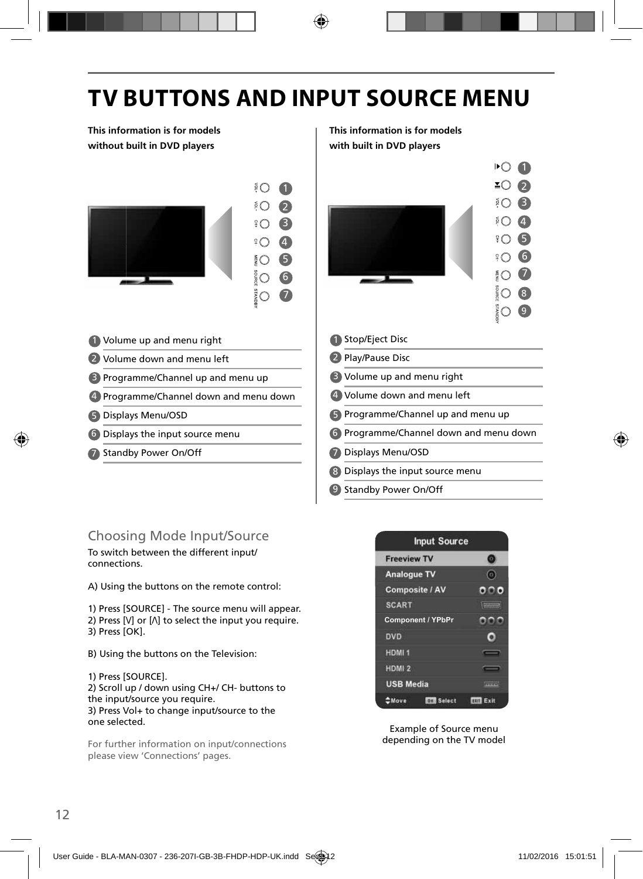# **TV BUTTONS AND INPUT SOURCE MENU**

**This information is for models without built in DVD players**



- 1 Volume up and menu right **1** 1
- 2 Volume down and menu left  $\sim$  | 2
- 3 Programme/Channel up and menu up **8**
- 4 Programme/Channel down and menu down | 4
- Displays Menu/OSD 5 5
- 6 Displays the input source menu and the solution of the G
- 7 Standby Power On/Off **1996 1997**

**This information is for models with built in DVD players**



- Displays Menu/OSD
- 8) Displays the input source menu
- 9 Standby Power On/Off

### Choosing Mode Input/Source

To switch between the different input/ connections.

A) Using the buttons on the remote control:

1) Press [SOURCE] - The source menu will appear. 2) Press [\/] or [/\] to select the input you require. 3) Press [OK].

- B) Using the buttons on the Television:
- 1) Press [SOURCE].

2) Scroll up / down using CH+/ CH- buttons to the input/source you require. 3) Press Vol+ to change input/source to the one selected.

For further information on input/connections please view 'Connections' pages.



Example of Source menu depending on the TV model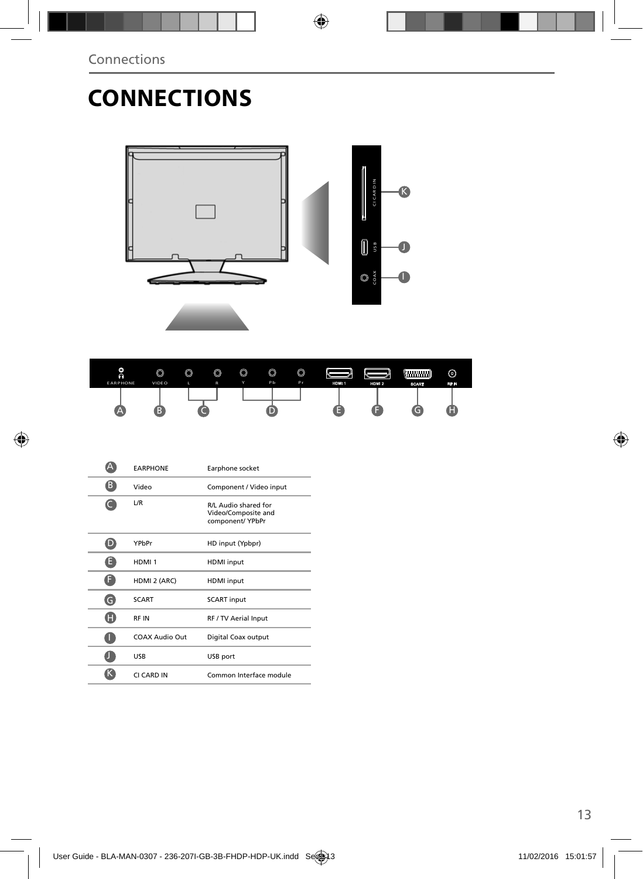# **CONNECTIONS**





|   | <b><i>EARPHONE</i></b> | Earphone socket                                                 |
|---|------------------------|-----------------------------------------------------------------|
| B | Video                  | Component / Video input                                         |
|   | L/R                    | R/L Audio shared for<br>Video/Composite and<br>component/ YPbPr |
|   | YPbPr                  | HD input (Ypbpr)                                                |
| Ħ | HDMI <sub>1</sub>      | <b>HDMI</b> input                                               |
| F | HDMI 2 (ARC)           | <b>HDMI</b> input                                               |
| G | <b>SCART</b>           | <b>SCART</b> input                                              |
| H | RF IN                  | RF / TV Aerial Input                                            |
|   | COAX Audio Out         | Digital Coax output                                             |
|   | <b>USB</b>             | USB port                                                        |
|   | CI CARD IN             | Common Interface module                                         |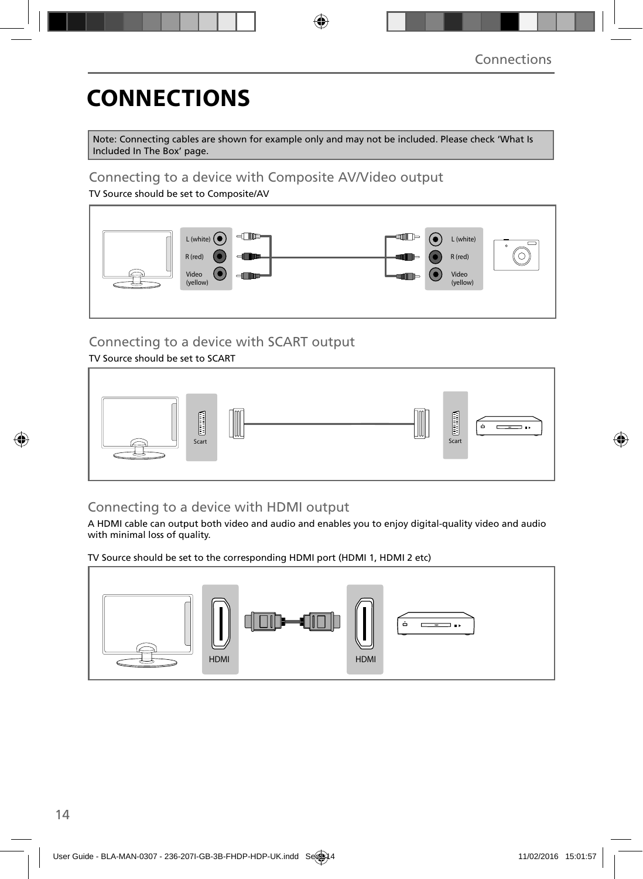# **CONNECTIONS**

Note: Connecting cables are shown for example only and may not be included. Please check 'What Is Included In The Box' page.

### Connecting to a device with Composite AV/Video output

TV Source should be set to Composite/AV



## Connecting to a device with SCART output

### TV Source should be set to SCART



### Connecting to a device with HDMI output

A HDMI cable can output both video and audio and enables you to enjoy digital-quality video and audio with minimal loss of quality.

TV Source should be set to the corresponding HDMI port (HDMI 1, HDMI 2 etc)

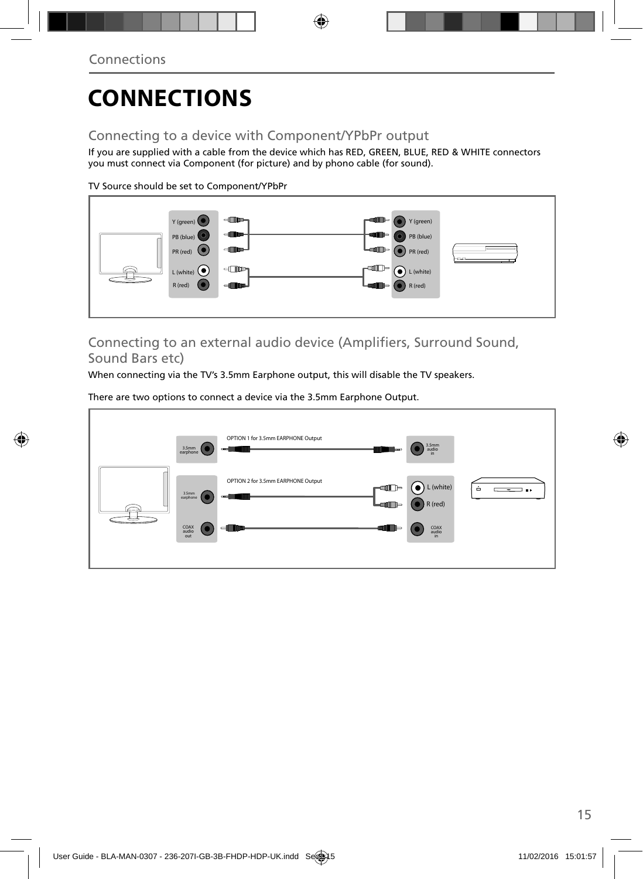# **CONNECTIONS**

## Connecting to a device with Component/YPbPr output

If you are supplied with a cable from the device which has RED, GREEN, BLUE, RED & WHITE connectors you must connect via Component (for picture) and by phono cable (for sound).

TV Source should be set to Component/YPbPr



### Connecting to an external audio device (Amplifiers, Surround Sound, Sound Bars etc)

When connecting via the TV's 3.5mm Earphone output, this will disable the TV speakers.

There are two options to connect a device via the 3.5mm Earphone Output.

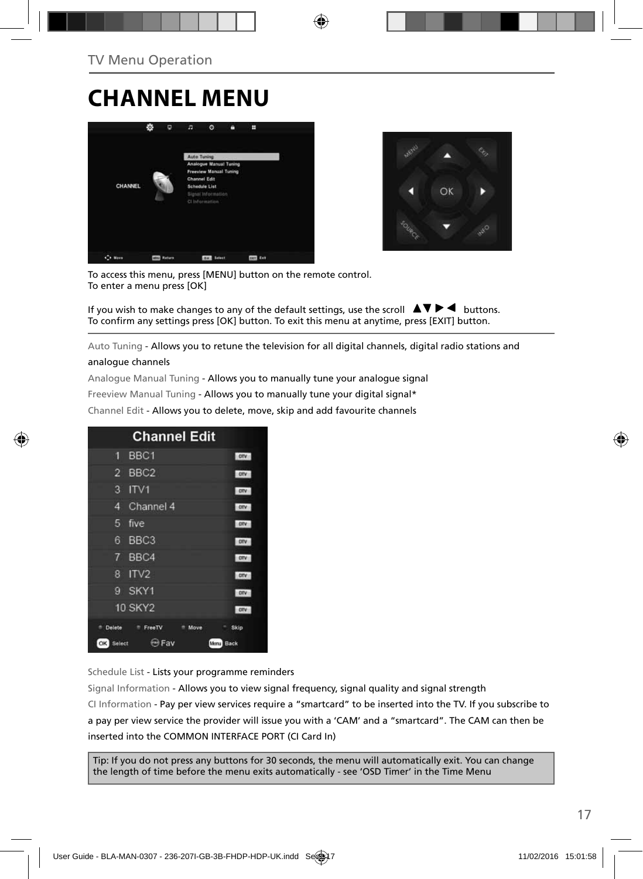# **CHANNEL MENU**





To access this menu, press [MENU] button on the remote control. To enter a menu press [OK]

If you wish to make changes to any of the default settings, use the scroll  $\Box \blacktriangledown \blacktriangleright \blacktriangleleft$  buttons. To confirm any settings press [OK] button. To exit this menu at anytime, press [EXIT] button.

Auto Tuning - Allows you to retune the television for all digital channels, digital radio stations and

#### analogue channels

Analogue Manual Tuning - Allows you to manually tune your analogue signal

Freeview Manual Tuning - Allows you to manually tune your digital signal\*

Channel Edit - Allows you to delete, move, skip and add favourite channels

|                      | <b>Channel Edit</b>         |              |
|----------------------|-----------------------------|--------------|
| 9                    | BBC <sub>1</sub>            | onv          |
| 2                    | BBC <sub>2</sub>            | otv          |
| 3                    | ITVI                        | otv          |
| 4                    | Channel 4                   | otv          |
| 5<br>five            |                             | otv          |
| 6                    | BBC <sub>3</sub>            | <b>DIV</b>   |
| 7                    | BBC4                        | onv          |
| 8                    | ITV <sub>2</sub>            | onv          |
| G                    | SKY1                        | onv          |
| <b>10 SKY2</b>       |                             | <b>OTV</b>   |
| <sup>th</sup> Delete | <sup>#</sup> FreeTV<br>Move | ۰<br>Skip    |
| OK<br>Select         | <b>ED Fav</b>               | Back<br>Menu |

Schedule List - Lists your programme reminders

Signal Information - Allows you to view signal frequency, signal quality and signal strength CI Information - Pay per view services require a "smartcard" to be inserted into the TV. If you subscribe to a pay per view service the provider will issue you with a 'CAM' and a "smartcard". The CAM can then be inserted into the COMMON INTERFACE PORT (CI Card In)

Tip: If you do not press any buttons for 30 seconds, the menu will automatically exit. You can change the length of time before the menu exits automatically - see 'OSD Timer' in the Time Menu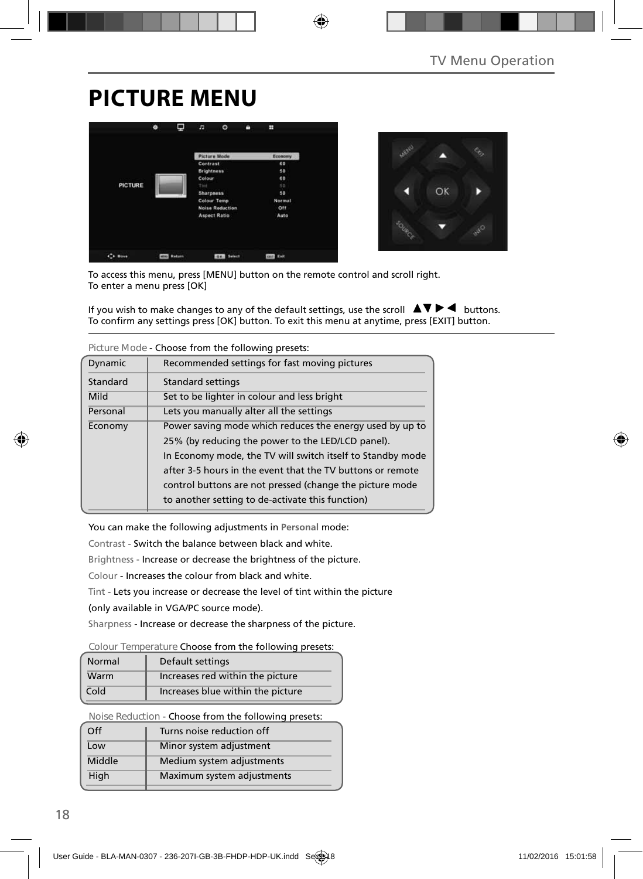# **PICTURE MENU**





To access this menu, press [MENU] button on the remote control and scroll right. To enter a menu press [OK]

If you wish to make changes to any of the default settings, use the scroll  $\blacktriangle \blacktriangledown \blacktriangleright \blacktriangleleft$  buttons. To confirm any settings press [OK] button. To exit this menu at anytime, press [EXIT] button.

|          | Titulic Mode - Choose Honi the following biesets.                                                                                                                                                                                                                                                     |
|----------|-------------------------------------------------------------------------------------------------------------------------------------------------------------------------------------------------------------------------------------------------------------------------------------------------------|
| Dynamic  | Recommended settings for fast moving pictures                                                                                                                                                                                                                                                         |
| Standard | <b>Standard settings</b>                                                                                                                                                                                                                                                                              |
| Mild     | Set to be lighter in colour and less bright                                                                                                                                                                                                                                                           |
| Personal | Lets you manually alter all the settings                                                                                                                                                                                                                                                              |
| Economy  | Power saving mode which reduces the energy used by up to<br>25% (by reducing the power to the LED/LCD panel).<br>In Economy mode, the TV will switch itself to Standby mode<br>after 3-5 hours in the event that the TV buttons or remote<br>control buttons are not pressed (change the picture mode |
|          | to another setting to de-activate this function)                                                                                                                                                                                                                                                      |

**Picture Mode** - Choose from the following presets:

You can make the following adjustments in **Personal** mode:

Contrast - Switch the balance between black and white.

Brightness - Increase or decrease the brightness of the picture.

Colour - Increases the colour from black and white.

Tint - Lets you increase or decrease the level of tint within the picture

(only available in VGA/PC source mode).

Sharpness - Increase or decrease the sharpness of the picture.

#### **Colour Temperature** Choose from the following presets:

| Normal | Default settings                  |
|--------|-----------------------------------|
| Warm   | Increases red within the picture  |
| Cold   | Increases blue within the picture |

**Noise Reduction** - Choose from the following presets:

| Off    | Turns noise reduction off  |
|--------|----------------------------|
| Low    | Minor system adjustment    |
| Middle | Medium system adjustments  |
| High   | Maximum system adjustments |
|        |                            |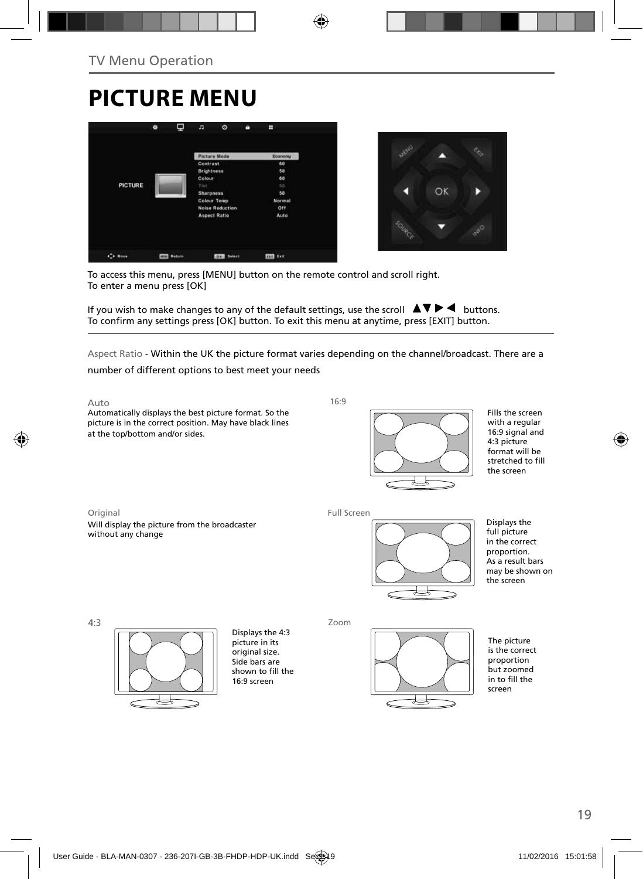# **PICTURE MENU**





To access this menu, press [MENU] button on the remote control and scroll right. To enter a menu press [OK]

If you wish to make changes to any of the default settings, use the scroll  $\Box \blacktriangleright \blacktriangleleft$  buttons. To confirm any settings press [OK] button. To exit this menu at anytime, press [EXIT] button.

Aspect Ratio - Within the UK the picture format varies depending on the channel/broadcast. There are a

number of different options to best meet your needs

Auto

Automatically displays the best picture format. So the picture is in the correct position. May have black lines at the top/bottom and/or sides.

16:9



Fills the screen with a regular 16:9 signal and 4:3 picture format will be stretched to fill the screen

Original Will display the picture from the broadcaster without any change

Full Screen



Displays the full picture in the correct proportion. As a result bars may be shown on the screen

4:3



Displays the 4:3 picture in its original size. Side bars are shown to fill the 16:9 screen

Zoom



The picture is the correct proportion but zoomed in to fill the screen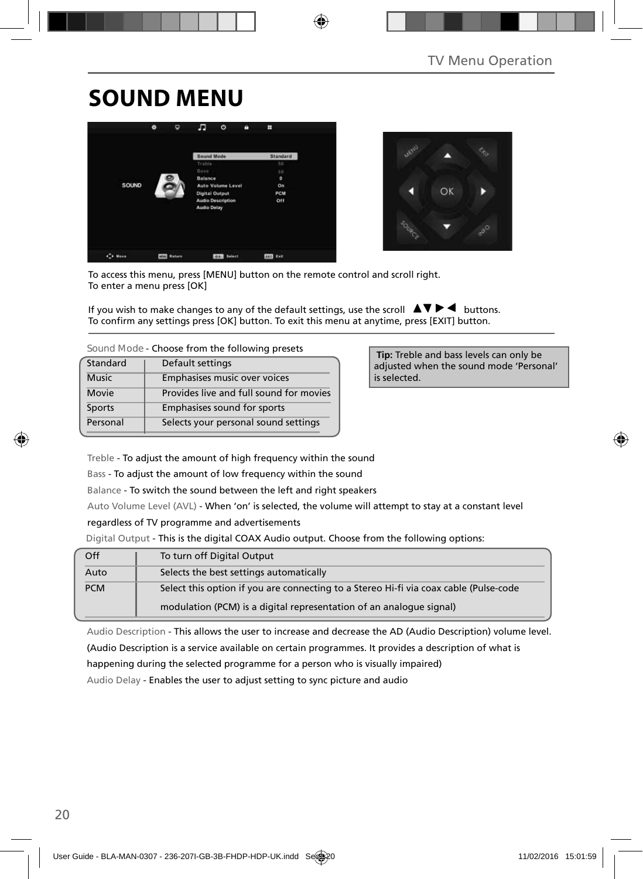# **SOUND MENU**





To access this menu, press [MENU] button on the remote control and scroll right. To enter a menu press [OK]

If you wish to make changes to any of the default settings, use the scroll  $\Box \blacktriangledown \blacktriangleright \blacktriangleleft$  buttons. To confirm any settings press [OK] button. To exit this menu at anytime, press [EXIT] button.

| Sound Mode - Choose from the following presets |  |
|------------------------------------------------|--|
|------------------------------------------------|--|

| Standard      | Default settings                        |
|---------------|-----------------------------------------|
| <b>Music</b>  | Emphasises music over voices            |
| Movie         | Provides live and full sound for movies |
| <b>Sports</b> | Emphasises sound for sports             |
| Personal      | Selects your personal sound settings    |

 **Tip:** Treble and bass levels can only be adjusted when the sound mode 'Personal' is selected.

Treble - To adjust the amount of high frequency within the sound

Bass - To adjust the amount of low frequency within the sound

Balance - To switch the sound between the left and right speakers

Auto Volume Level (AVL) - When 'on' is selected, the volume will attempt to stay at a constant level

#### regardless of TV programme and advertisements

Digital Output - This is the digital COAX Audio output. Choose from the following options:

| Off        | To turn off Digital Output                                                            |
|------------|---------------------------------------------------------------------------------------|
| Auto       | Selects the best settings automatically                                               |
| <b>PCM</b> | Select this option if you are connecting to a Stereo Hi-fi via coax cable (Pulse-code |
|            | modulation (PCM) is a digital representation of an analogue signal)                   |

Audio Description - This allows the user to increase and decrease the AD (Audio Description) volume level.

(Audio Description is a service available on certain programmes. It provides a description of what is

happening during the selected programme for a person who is visually impaired)

Audio Delay - Enables the user to adjust setting to sync picture and audio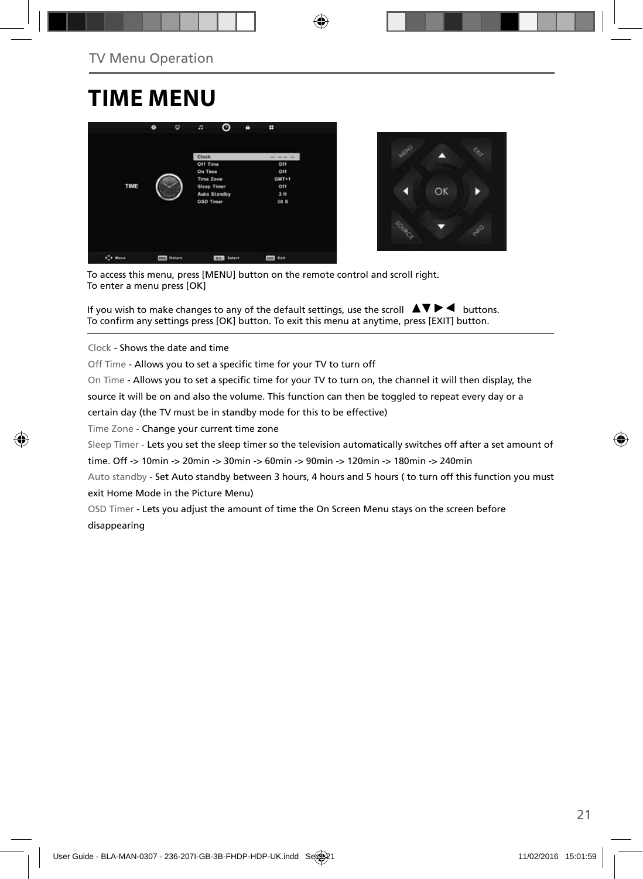# **TIME MENU**





To access this menu, press [MENU] button on the remote control and scroll right. To enter a menu press [OK]

If you wish to make changes to any of the default settings, use the scroll  $\Box \blacktriangledown \blacktriangleright \blacktriangleleft$  buttons. To confirm any settings press [OK] button. To exit this menu at anytime, press [EXIT] button.

Clock - Shows the date and time

Off Time - Allows you to set a specific time for your TV to turn off

On Time - Allows you to set a specific time for your TV to turn on, the channel it will then display, the

source it will be on and also the volume. This function can then be toggled to repeat every day or a

certain day (the TV must be in standby mode for this to be effective)

Time Zone - Change your current time zone

Sleep Timer - Lets you set the sleep timer so the television automatically switches off after a set amount of

time. Off -> 10min -> 20min -> 30min -> 60min -> 90min -> 120min -> 180min -> 240min

Auto standby - Set Auto standby between 3 hours, 4 hours and 5 hours ( to turn off this function you must exit Home Mode in the Picture Menu)

OSD Timer - Lets you adjust the amount of time the On Screen Menu stays on the screen before disappearing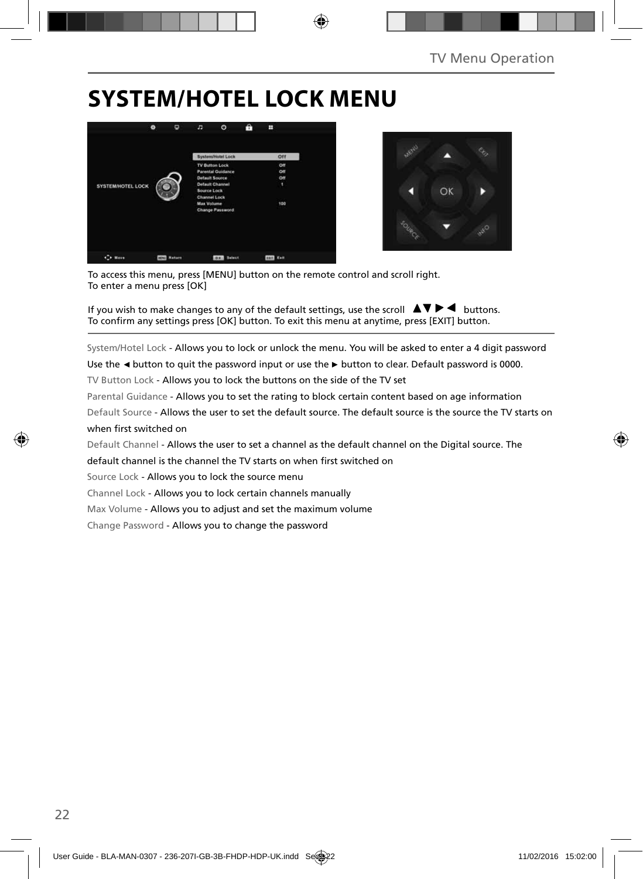# **SYSTEM/HOTEL LOCK MENU**





To access this menu, press [MENU] button on the remote control and scroll right. To enter a menu press [OK]

If you wish to make changes to any of the default settings, use the scroll  $\Delta \nabla \blacktriangleright$   $\blacktriangleleft$  buttons. To confirm any settings press [OK] button. To exit this menu at anytime, press [EXIT] button.

System/Hotel Lock - Allows you to lock or unlock the menu. You will be asked to enter a 4 digit password

Use the **◄** button to quit the password input or use the **►** button to clear. Default password is 0000.

TV Button Lock - Allows you to lock the buttons on the side of the TV set

Parental Guidance - Allows you to set the rating to block certain content based on age information

Default Source - Allows the user to set the default source. The default source is the source the TV starts on when first switched on

Default Channel - Allows the user to set a channel as the default channel on the Digital source. The

default channel is the channel the TV starts on when first switched on

Source Lock - Allows you to lock the source menu

Channel Lock - Allows you to lock certain channels manually

Max Volume - Allows you to adjust and set the maximum volume

Change Password - Allows you to change the password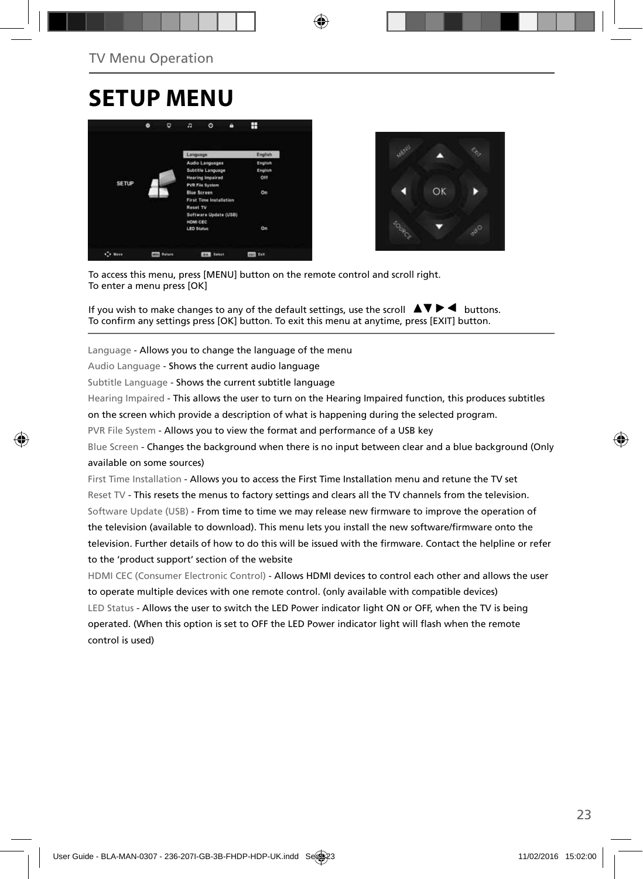## **SETUP MENU**





To access this menu, press [MENU] button on the remote control and scroll right. To enter a menu press [OK]

If you wish to make changes to any of the default settings, use the scroll  $\blacktriangle \blacktriangledown \blacktriangleright \blacktriangleleft$  buttons. To confirm any settings press [OK] button. To exit this menu at anytime, press [EXIT] button.

Language - Allows you to change the language of the menu

Audio Language - Shows the current audio language

Subtitle Language - Shows the current subtitle language

Hearing Impaired - This allows the user to turn on the Hearing Impaired function, this produces subtitles

on the screen which provide a description of what is happening during the selected program.

PVR File System - Allows you to view the format and performance of a USB key

Blue Screen - Changes the background when there is no input between clear and a blue background (Only available on some sources)

First Time Installation - Allows you to access the First Time Installation menu and retune the TV set Reset TV - This resets the menus to factory settings and clears all the TV channels from the television. Software Update (USB) - From time to time we may release new firmware to improve the operation of the television (available to download). This menu lets you install the new software/firmware onto the television. Further details of how to do this will be issued with the firmware. Contact the helpline or refer to the 'product support' section of the website

HDMI CEC (Consumer Electronic Control) - Allows HDMI devices to control each other and allows the user to operate multiple devices with one remote control. (only available with compatible devices) LED Status - Allows the user to switch the LED Power indicator light ON or OFF, when the TV is being operated. (When this option is set to OFF the LED Power indicator light will flash when the remote control is used)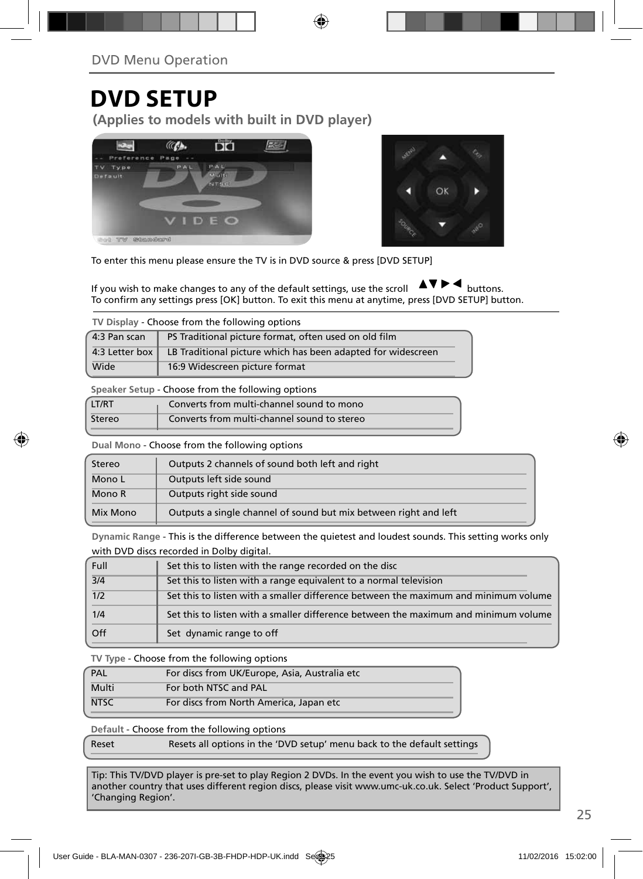## **DVD SETUP**

**(Applies to models with built in DVD player)**





To enter this menu please ensure the TV is in DVD source & press [DVD SETUP]

If you wish to make changes to any of the default settings, use the scroll  $\Box \Box \Box \Box$  buttons. To confirm any settings press [OK] button. To exit this menu at anytime, press [DVD SETUP] button.

**TV Display** - Choose from the following options

| 4:3 Pan scan | PS Traditional picture format, often used on old film                         |
|--------------|-------------------------------------------------------------------------------|
|              | 4:3 Letter box   LB Traditional picture which has been adapted for widescreen |
| Wide         | 16:9 Widescreen picture format                                                |

**Speaker Setup** - Choose from the following options

| LT/RT  | Converts from multi-channel sound to mono   |
|--------|---------------------------------------------|
| Stereo | Converts from multi-channel sound to stereo |

**Dual Mono** - Choose from the following options

| Stereo   | Outputs 2 channels of sound both left and right                  |
|----------|------------------------------------------------------------------|
| Mono L   | Outputs left side sound                                          |
| Mono R   | Outputs right side sound                                         |
| Mix Mono | Outputs a single channel of sound but mix between right and left |

**Dynamic Range** - This is the difference between the quietest and loudest sounds. This setting works only with DVD discs recorded in Dolby digital.

| Full             | Set this to listen with the range recorded on the disc                              |
|------------------|-------------------------------------------------------------------------------------|
| $\overline{3}/4$ | Set this to listen with a range equivalent to a normal television                   |
| 1/2              | Set this to listen with a smaller difference between the maximum and minimum volume |
| 1/4              | Set this to listen with a smaller difference between the maximum and minimum volume |
| Off              | Set dynamic range to off                                                            |

**TV Type** - Choose from the following options

| PAL         | For discs from UK/Europe, Asia, Australia etc |
|-------------|-----------------------------------------------|
| Multi       | For both NTSC and PAL                         |
| <b>NTSC</b> | For discs from North America, Japan etc       |

**Default** - Choose from the following options

| Reset | Resets all options in the 'DVD setup' menu back to the default settings |
|-------|-------------------------------------------------------------------------|
|-------|-------------------------------------------------------------------------|

Tip: This TV/DVD player is pre-set to play Region 2 DVDs. In the event you wish to use the TV/DVD in another country that uses different region discs, please visit www.umc-uk.co.uk. Select 'Product Support', 'Changing Region'.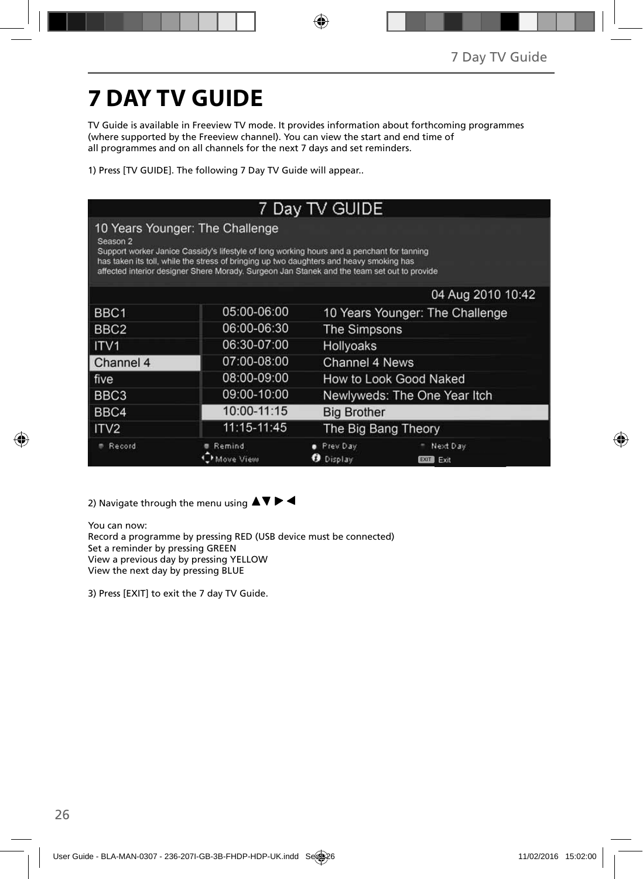# **7 DAY TV GUIDE**

TV Guide is available in Freeview TV mode. It provides information about forthcoming programmes (where supported by the Freeview channel). You can view the start and end time of all programmes and on all channels for the next 7 days and set reminders.

1) Press [TV GUIDE]. The following 7 Day TV Guide will appear..

| 7 Day TV GUIDE                                                                                                                                                                                                                                                                                                                      |                     |                                 |                                 |  |
|-------------------------------------------------------------------------------------------------------------------------------------------------------------------------------------------------------------------------------------------------------------------------------------------------------------------------------------|---------------------|---------------------------------|---------------------------------|--|
| 10 Years Younger: The Challenge<br>Season 2<br>Support worker Janice Cassidy's lifestyle of long working hours and a penchant for tanning<br>has taken its toll, while the stress of bringing up two daughters and heavy smoking has<br>affected interior designer Shere Morady. Surgeon Jan Stanek and the team set out to provide |                     |                                 |                                 |  |
|                                                                                                                                                                                                                                                                                                                                     |                     |                                 | 04 Aug 2010 10:42               |  |
| BBC <sub>1</sub>                                                                                                                                                                                                                                                                                                                    | 05:00-06:00         | 10 Years Younger: The Challenge |                                 |  |
| BBC <sub>2</sub>                                                                                                                                                                                                                                                                                                                    | 06:00-06:30         | <b>The Simpsons</b>             |                                 |  |
| ITV <sub>1</sub>                                                                                                                                                                                                                                                                                                                    | 06:30-07:00         | Hollyoaks                       |                                 |  |
| Channel 4                                                                                                                                                                                                                                                                                                                           | 07:00-08:00         | Channel 4 News                  |                                 |  |
| five                                                                                                                                                                                                                                                                                                                                | 08:00-09:00         | How to Look Good Naked          |                                 |  |
| BBC <sub>3</sub>                                                                                                                                                                                                                                                                                                                    | 09:00-10:00         | Newlyweds: The One Year Itch    |                                 |  |
| BBC4                                                                                                                                                                                                                                                                                                                                | 10:00-11:15         | <b>Big Brother</b>              |                                 |  |
| ITV <sub>2</sub>                                                                                                                                                                                                                                                                                                                    | 11:15-11:45         | The Big Bang Theory             |                                 |  |
| Record                                                                                                                                                                                                                                                                                                                              | Remind<br>Move View | Prev Day<br>Display             | Next Day<br><b>EXIT</b><br>Exit |  |

2) Navigate through the menu using  $\blacktriangle \blacktriangledown \blacktriangleright \blacktriangleleft$ 

You can now: Record a programme by pressing RED (USB device must be connected) Set a reminder by pressing GREEN View a previous day by pressing YELLOW View the next day by pressing BLUE

3) Press [EXIT] to exit the 7 day TV Guide.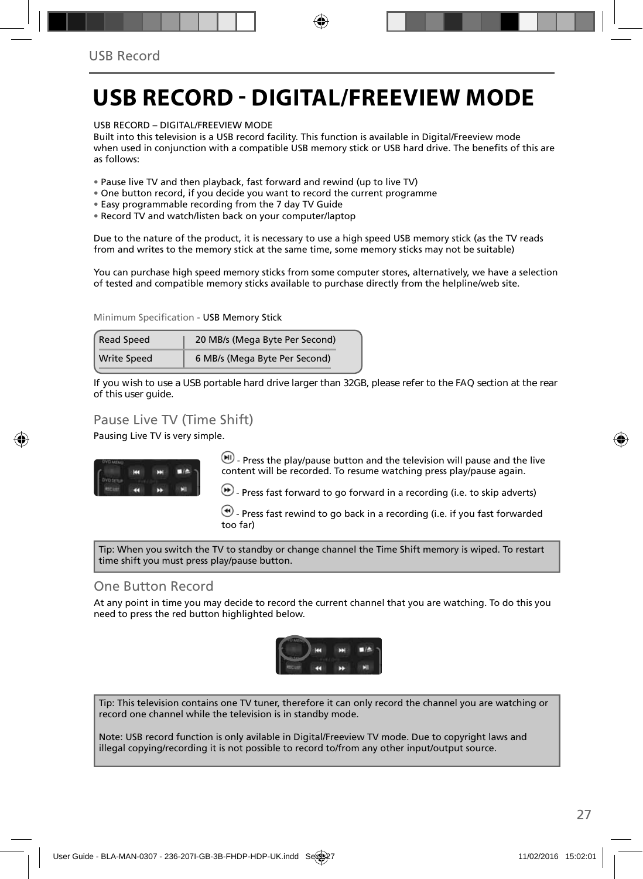# **USB RECORD - DIGITAL/FREEVIEW MODE**

USB RECORD – DIGITAL/FREEVIEW MODE

Built into this television is a USB record facility. This function is available in Digital/Freeview mode when used in conjunction with a compatible USB memory stick or USB hard drive. The benefits of this are as follows:

• Pause live TV and then playback, fast forward and rewind (up to live TV)

- One button record, if you decide you want to record the current programme
- Easy programmable recording from the 7 day TV Guide
- Record TV and watch/listen back on your computer/laptop

Due to the nature of the product, it is necessary to use a high speed USB memory stick (as the TV reads from and writes to the memory stick at the same time, some memory sticks may not be suitable)

You can purchase high speed memory sticks from some computer stores, alternatively, we have a selection of tested and compatible memory sticks available to purchase directly from the helpline/web site.

Minimum Specification - USB Memory Stick

| <b>Read Speed</b>  | 20 MB/s (Mega Byte Per Second) |
|--------------------|--------------------------------|
| <b>Write Speed</b> | 6 MB/s (Mega Byte Per Second)  |

**If you wish to use a USB portable hard drive larger than 32GB, please refer to the FAQ section at the rear of this user guide.**

### Pause Live TV (Time Shift)

Pausing Live TV is very simple.



 $-$  Press the play/pause button and the television will pause and the live content will be recorded. To resume watching press play/pause again.

 $\bigcirc$  - Press fast forward to go forward in a recording (i.e. to skip adverts)

 $\left(\bigstar\right)$  - Press fast rewind to go back in a recording (i.e. if you fast forwarded too far)

Tip: When you switch the TV to standby or change channel the Time Shift memory is wiped. To restart time shift you must press play/pause button.

#### One Button Record

At any point in time you may decide to record the current channel that you are watching. To do this you need to press the red button highlighted below.



Tip: This television contains one TV tuner, therefore it can only record the channel you are watching or record one channel while the television is in standby mode.

Note: USB record function is only avilable in Digital/Freeview TV mode. Due to copyright laws and illegal copying/recording it is not possible to record to/from any other input/output source.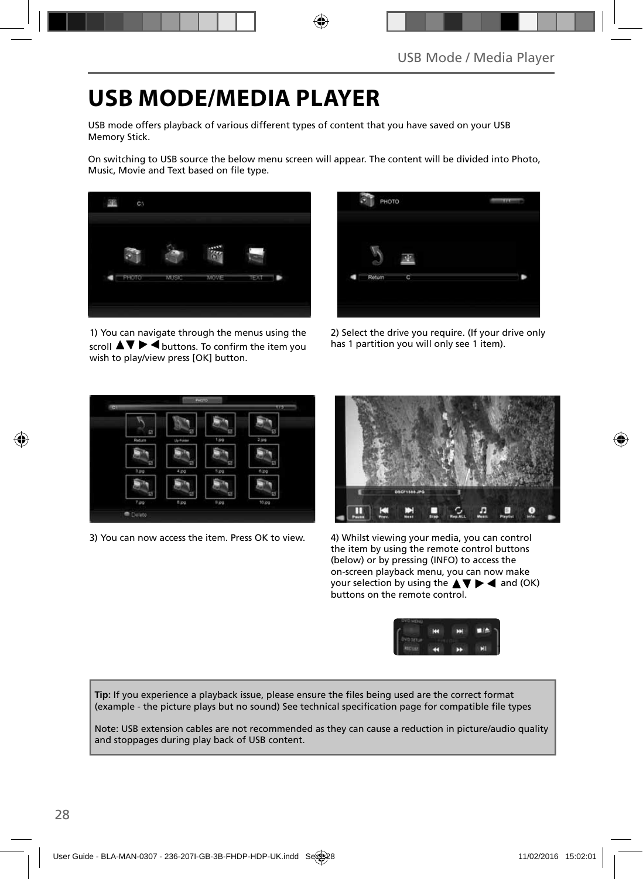# **USB MODE/MEDIA PLAYER**

USB mode offers playback of various different types of content that you have saved on your USB Memory Stick.

On switching to USB source the below menu screen will appear. The content will be divided into Photo, Music, Movie and Text based on file type.



1) You can navigate through the menus using the scroll  $\triangle \blacktriangledown \blacktriangleright \blacktriangleleft$  buttons. To confirm the item you wish to play/view press [OK] button.



2) Select the drive you require. (If your drive only has 1 partition you will only see 1 item).



3) You can now access the item. Press OK to view. 4) Whilst viewing your media, you can control



the item by using the remote control buttons (below) or by pressing (INFO) to access the on-screen playback menu, you can now make your selection by using the  $\triangle \blacktriangledown \blacktriangleright \blacktriangleleft$  and (OK) buttons on the remote control.



Tip: If you experience a playback issue, please ensure the files being used are the correct format (example - the picture plays but no sound) See technical specification page for compatible file types

Note: USB extension cables are not recommended as they can cause a reduction in picture/audio quality and stoppages during play back of USB content.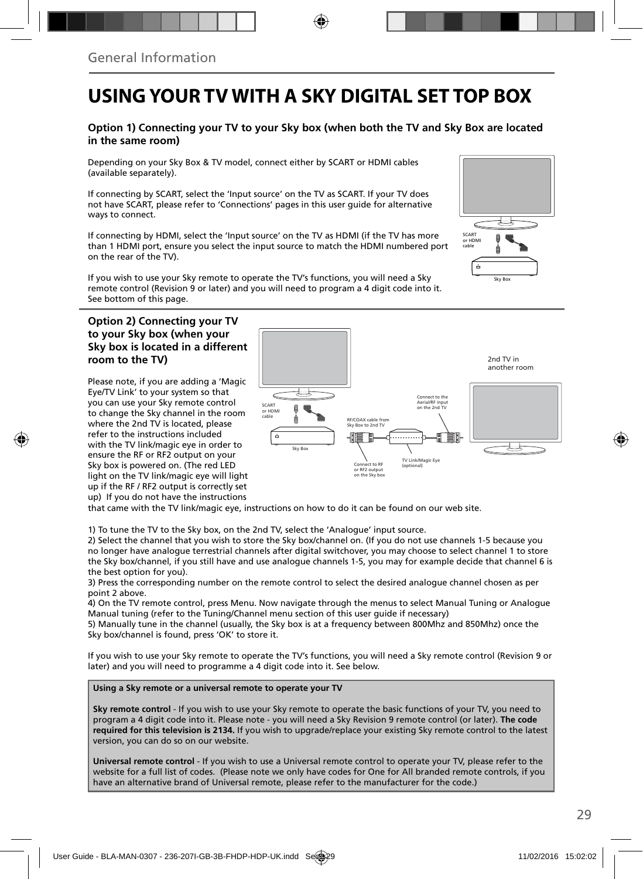## **USING YOUR TV WITH A SKY DIGITAL SET TOP BOX**

#### **Option 1) Connecting your TV to your Sky box (when both the TV and Sky Box are located in the same room)**

Depending on your Sky Box & TV model, connect either by SCART or HDMI cables (available separately).

If connecting by SCART, select the 'Input source' on the TV as SCART. If your TV does not have SCART, please refer to 'Connections' pages in this user guide for alternative ways to connect.

If connecting by HDMI, select the 'Input source' on the TV as HDMI (if the TV has more than 1 HDMI port, ensure you select the input source to match the HDMI numbered port on the rear of the TV).

If you wish to use your Sky remote to operate the TV's functions, you will need a Sky remote control (Revision 9 or later) and you will need to program a 4 digit code into it. See bottom of this page.

#### **Option 2) Connecting your TV to your Sky box (when your Sky box is located in a different room to the TV)**

Please note, if you are adding a 'Magic Eye/TV Link' to your system so that you can use your Sky remote control to change the Sky channel in the room where the 2nd TV is located, please refer to the instructions included with the TV link/magic eye in order to ensure the RF or RF2 output on your Sky box is powered on. (The red LED light on the TV link/magic eye will light up if the RF / RF2 output is correctly set up) If you do not have the instructions



that came with the TV link/magic eye, instructions on how to do it can be found on our web site.

1) To tune the TV to the Sky box, on the 2nd TV, select the 'Analogue' input source.

2) Select the channel that you wish to store the Sky box/channel on. (If you do not use channels 1-5 because you no longer have analogue terrestrial channels after digital switchover, you may choose to select channel 1 to store the Sky box/channel, if you still have and use analogue channels 1-5, you may for example decide that channel 6 is the best option for you).

3) Press the corresponding number on the remote control to select the desired analogue channel chosen as per point 2 above.

4) On the TV remote control, press Menu. Now navigate through the menus to select Manual Tuning or Analogue Manual tuning (refer to the Tuning/Channel menu section of this user guide if necessary)

5) Manually tune in the channel (usually, the Sky box is at a frequency between 800Mhz and 850Mhz) once the Sky box/channel is found, press 'OK' to store it.

If you wish to use your Sky remote to operate the TV's functions, you will need a Sky remote control (Revision 9 or later) and you will need to programme a 4 digit code into it. See below.

**Using a Sky remote or a universal remote to operate your TV** 

**Sky remote control** - If you wish to use your Sky remote to operate the basic functions of your TV, you need to program a 4 digit code into it. Please note - you will need a Sky Revision 9 remote control (or later). **The code required for this television is 2134.** If you wish to upgrade/replace your existing Sky remote control to the latest version, you can do so on our website.

**Universal remote control** - If you wish to use a Universal remote control to operate your TV, please refer to the website for a full list of codes. (Please note we only have codes for One for All branded remote controls, if you have an alternative brand of Universal remote, please refer to the manufacturer for the code.)

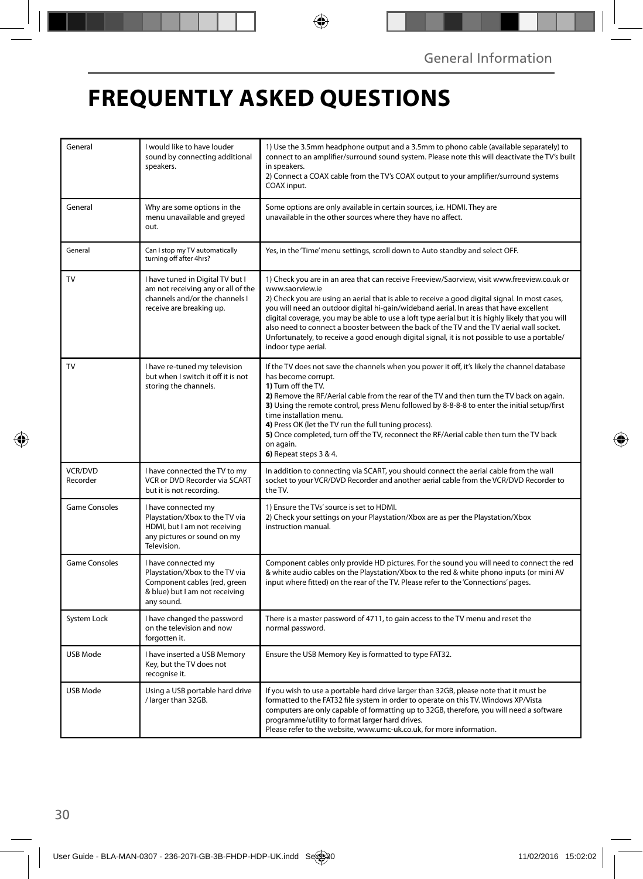# **FREQUENTLY ASKED QUESTIONS**

| General                    | I would like to have louder<br>sound by connecting additional<br>speakers.                                                            | 1) Use the 3.5mm headphone output and a 3.5mm to phono cable (available separately) to<br>connect to an amplifier/surround sound system. Please note this will deactivate the TV's built<br>in speakers.<br>2) Connect a COAX cable from the TV's COAX output to your amplifier/surround systems<br>COAX input.                                                                                                                                                                                                                                                                                                                     |
|----------------------------|---------------------------------------------------------------------------------------------------------------------------------------|-------------------------------------------------------------------------------------------------------------------------------------------------------------------------------------------------------------------------------------------------------------------------------------------------------------------------------------------------------------------------------------------------------------------------------------------------------------------------------------------------------------------------------------------------------------------------------------------------------------------------------------|
| General                    | Why are some options in the<br>menu unavailable and greyed<br>out.                                                                    | Some options are only available in certain sources, i.e. HDMI. They are<br>unavailable in the other sources where they have no affect.                                                                                                                                                                                                                                                                                                                                                                                                                                                                                              |
| General                    | Can I stop my TV automatically<br>turning off after 4hrs?                                                                             | Yes, in the 'Time' menu settings, scroll down to Auto standby and select OFF.                                                                                                                                                                                                                                                                                                                                                                                                                                                                                                                                                       |
| TV                         | I have tuned in Digital TV but I<br>am not receiving any or all of the<br>channels and/or the channels I<br>receive are breaking up.  | 1) Check you are in an area that can receive Freeview/Saorview, visit www.freeview.co.uk or<br>www.saorview.ie<br>2) Check you are using an aerial that is able to receive a good digital signal. In most cases,<br>you will need an outdoor digital hi-gain/wideband aerial. In areas that have excellent<br>digital coverage, you may be able to use a loft type aerial but it is highly likely that you will<br>also need to connect a booster between the back of the TV and the TV aerial wall socket.<br>Unfortunately, to receive a good enough digital signal, it is not possible to use a portable/<br>indoor type aerial. |
| TV                         | I have re-tuned my television<br>but when I switch it off it is not<br>storing the channels.                                          | If the TV does not save the channels when you power it off, it's likely the channel database<br>has become corrupt.<br>1) Turn off the TV.<br>2) Remove the RF/Aerial cable from the rear of the TV and then turn the TV back on again.<br>3) Using the remote control, press Menu followed by 8-8-8-8 to enter the initial setup/first<br>time installation menu.<br>4) Press OK (let the TV run the full tuning process).<br>5) Once completed, turn off the TV, reconnect the RF/Aerial cable then turn the TV back<br>on again.<br>6) Repeat steps 3 & 4.                                                                       |
| <b>VCR/DVD</b><br>Recorder | I have connected the TV to my<br>VCR or DVD Recorder via SCART<br>but it is not recording.                                            | In addition to connecting via SCART, you should connect the aerial cable from the wall<br>socket to your VCR/DVD Recorder and another aerial cable from the VCR/DVD Recorder to<br>the TV.                                                                                                                                                                                                                                                                                                                                                                                                                                          |
| <b>Game Consoles</b>       | I have connected my<br>Playstation/Xbox to the TV via<br>HDMI, but I am not receiving<br>any pictures or sound on my<br>Television.   | 1) Ensure the TVs' source is set to HDMI.<br>2) Check your settings on your Playstation/Xbox are as per the Playstation/Xbox<br>instruction manual.                                                                                                                                                                                                                                                                                                                                                                                                                                                                                 |
| <b>Game Consoles</b>       | I have connected my<br>Playstation/Xbox to the TV via<br>Component cables (red, green<br>& blue) but I am not receiving<br>any sound. | Component cables only provide HD pictures. For the sound you will need to connect the red<br>& white audio cables on the Playstation/Xbox to the red & white phono inputs (or mini AV<br>input where fitted) on the rear of the TV. Please refer to the 'Connections' pages.                                                                                                                                                                                                                                                                                                                                                        |
| System Lock                | I have changed the password<br>on the television and now<br>forgotten it.                                                             | There is a master password of 4711, to gain access to the TV menu and reset the<br>normal password.                                                                                                                                                                                                                                                                                                                                                                                                                                                                                                                                 |
| USB Mode                   | I have inserted a USB Memory<br>Key, but the TV does not<br>recognise it.                                                             | Ensure the USB Memory Key is formatted to type FAT32.                                                                                                                                                                                                                                                                                                                                                                                                                                                                                                                                                                               |
| USB Mode                   | Using a USB portable hard drive<br>/ larger than 32GB.                                                                                | If you wish to use a portable hard drive larger than 32GB, please note that it must be<br>formatted to the FAT32 file system in order to operate on this TV. Windows XP/Vista<br>computers are only capable of formatting up to 32GB, therefore, you will need a software<br>programme/utility to format larger hard drives.<br>Please refer to the website, www.umc-uk.co.uk, for more information.                                                                                                                                                                                                                                |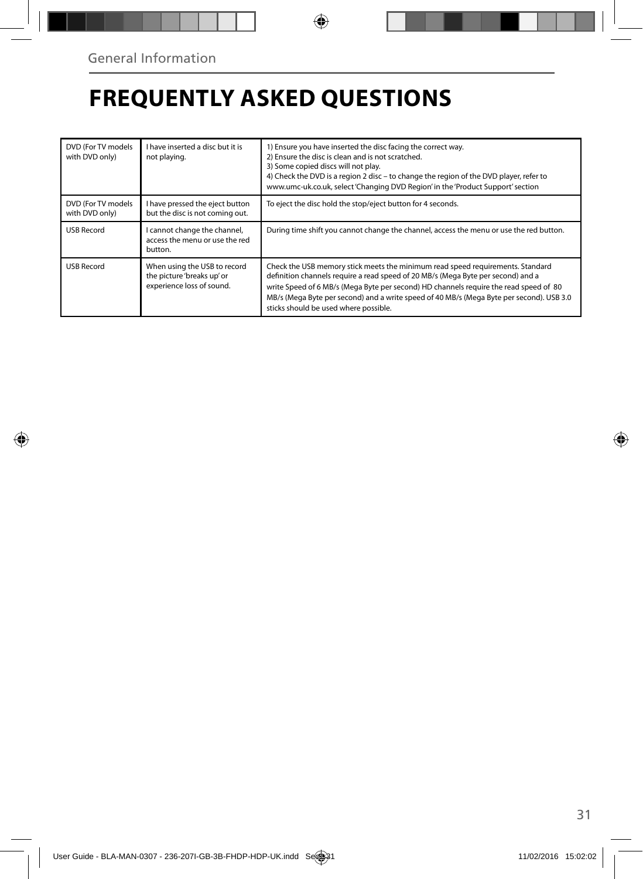# **FREQUENTLY ASKED QUESTIONS**

| DVD (For TV models<br>with DVD only) | I have inserted a disc but it is<br>not playing.                                        | 1) Ensure you have inserted the disc facing the correct way.<br>2) Ensure the disc is clean and is not scratched.<br>3) Some copied discs will not play.<br>4) Check the DVD is a region 2 disc - to change the region of the DVD player, refer to<br>www.umc-uk.co.uk, select 'Changing DVD Region' in the 'Product Support' section                                                            |
|--------------------------------------|-----------------------------------------------------------------------------------------|--------------------------------------------------------------------------------------------------------------------------------------------------------------------------------------------------------------------------------------------------------------------------------------------------------------------------------------------------------------------------------------------------|
| DVD (For TV models<br>with DVD only) | I have pressed the eject button<br>but the disc is not coming out.                      | To eject the disc hold the stop/eject button for 4 seconds.                                                                                                                                                                                                                                                                                                                                      |
| <b>USB Record</b>                    | I cannot change the channel,<br>access the menu or use the red<br>button.               | During time shift you cannot change the channel, access the menu or use the red button.                                                                                                                                                                                                                                                                                                          |
| <b>USB Record</b>                    | When using the USB to record<br>the picture 'breaks up' or<br>experience loss of sound. | Check the USB memory stick meets the minimum read speed requirements. Standard<br>definition channels require a read speed of 20 MB/s (Mega Byte per second) and a<br>write Speed of 6 MB/s (Mega Byte per second) HD channels require the read speed of 80<br>MB/s (Mega Byte per second) and a write speed of 40 MB/s (Mega Byte per second). USB 3.0<br>sticks should be used where possible. |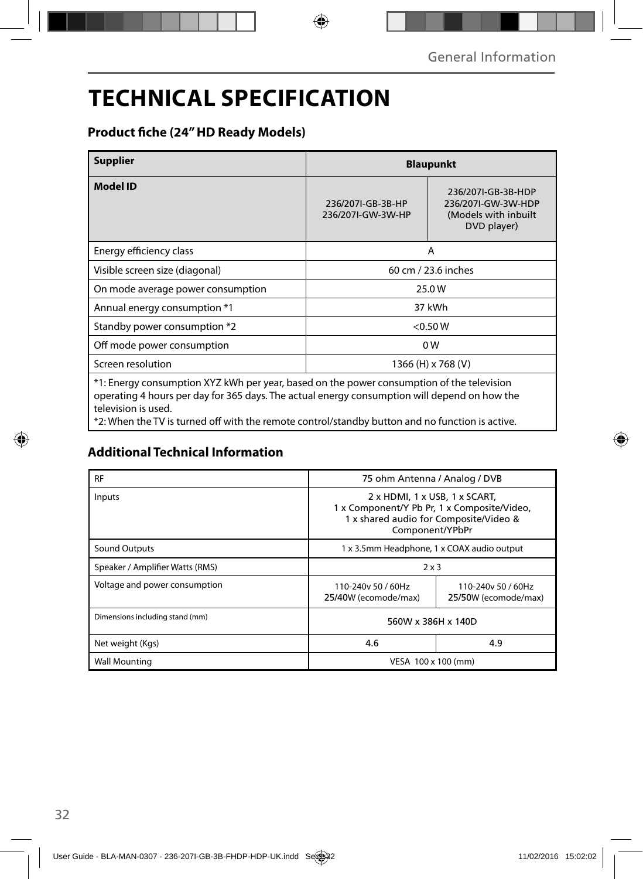# **TECHNICAL SPECIFICATION**

### **Product fiche (24" HD Ready Models)**

| <b>Supplier</b>                                                                                                                                                                           | <b>Blaupunkt</b>                       |                                                                                 |  |
|-------------------------------------------------------------------------------------------------------------------------------------------------------------------------------------------|----------------------------------------|---------------------------------------------------------------------------------|--|
| <b>Model ID</b>                                                                                                                                                                           | 236/207I-GB-3B-HP<br>236/207I-GW-3W-HP | 236/207I-GB-3B-HDP<br>236/207I-GW-3W-HDP<br>(Models with inbuilt<br>DVD player) |  |
| Energy efficiency class                                                                                                                                                                   | A                                      |                                                                                 |  |
| Visible screen size (diagonal)                                                                                                                                                            | 60 cm / 23.6 inches                    |                                                                                 |  |
| On mode average power consumption                                                                                                                                                         | 25.0W                                  |                                                                                 |  |
| Annual energy consumption *1                                                                                                                                                              | 37 kWh                                 |                                                                                 |  |
| Standby power consumption *2                                                                                                                                                              | < 0.50 W                               |                                                                                 |  |
| Off mode power consumption                                                                                                                                                                | 0W                                     |                                                                                 |  |
| Screen resolution                                                                                                                                                                         | 1366 (H) x 768 (V)                     |                                                                                 |  |
| *1: Energy consumption XYZ kWh per year, based on the power consumption of the television<br>operating 4 hours per day for 365 days. The actual energy consumption will depend on how the |                                        |                                                                                 |  |

television is used.

\*2: When the TV is turned off with the remote control/standby button and no function is active.

### **Additional Technical Information**

| <b>RF</b>                       | 75 ohm Antenna / Analog / DVB                                                                                                             |  |  |
|---------------------------------|-------------------------------------------------------------------------------------------------------------------------------------------|--|--|
| Inputs                          | 2 x HDMI, 1 x USB, 1 x SCART,<br>1 x Component/Y Pb Pr, 1 x Composite/Video,<br>1 x shared audio for Composite/Video &<br>Component/YPbPr |  |  |
| Sound Outputs                   | 1 x 3.5mm Headphone, 1 x COAX audio output                                                                                                |  |  |
| Speaker / Amplifier Watts (RMS) | $2 \times 3$                                                                                                                              |  |  |
| Voltage and power consumption   | 110-240y 50 / 60Hz<br>110-240v 50 / 60Hz<br>25/40W (ecomode/max)<br>25/50W (ecomode/max)                                                  |  |  |
| Dimensions including stand (mm) | 560W x 386H x 140D                                                                                                                        |  |  |
| Net weight (Kgs)                | 4.6<br>4.9                                                                                                                                |  |  |
| <b>Wall Mounting</b>            | VESA 100 x 100 (mm)                                                                                                                       |  |  |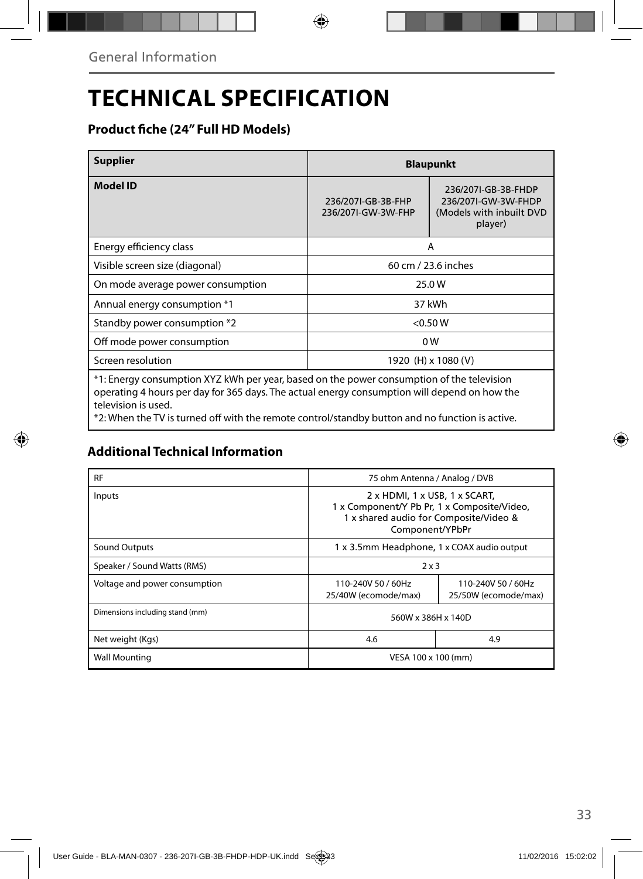# **TECHNICAL SPECIFICATION**

### **Product fiche (24" Full HD Models)**

| <b>Supplier</b>                                                                                                                                                                           | <b>Blaupunkt</b>                                                                                                              |  |
|-------------------------------------------------------------------------------------------------------------------------------------------------------------------------------------------|-------------------------------------------------------------------------------------------------------------------------------|--|
| <b>Model ID</b>                                                                                                                                                                           | 236/207I-GB-3B-FHDP<br>236/207I-GB-3B-FHP<br>236/207I-GW-3W-FHDP<br>236/2071-GW-3W-FHP<br>(Models with inbuilt DVD<br>player) |  |
| Energy efficiency class                                                                                                                                                                   | A                                                                                                                             |  |
| Visible screen size (diagonal)                                                                                                                                                            | 60 cm / 23.6 inches                                                                                                           |  |
| On mode average power consumption                                                                                                                                                         | 25.0 W                                                                                                                        |  |
| Annual energy consumption *1                                                                                                                                                              | 37 kWh                                                                                                                        |  |
| Standby power consumption *2                                                                                                                                                              | < 0.50 W                                                                                                                      |  |
| Off mode power consumption                                                                                                                                                                | 0W                                                                                                                            |  |
| Screen resolution                                                                                                                                                                         | 1920 (H) x 1080 (V)                                                                                                           |  |
| *1: Energy consumption XYZ kWh per year, based on the power consumption of the television<br>operating 4 hours per day for 365 days. The actual energy consumption will depend on how the |                                                                                                                               |  |

operating 4 hours per day for 365 days. The actual energy consumption will depend on how the operating + nours p<br>television is used.

\*2: When the TV is turned off with the remote control/standby button and no function is active.

### **Additional Technical Information**

| <b>RF</b>                       | 75 ohm Antenna / Analog / DVB                                                                                                             |  |  |
|---------------------------------|-------------------------------------------------------------------------------------------------------------------------------------------|--|--|
| Inputs                          | 2 x HDMI, 1 x USB, 1 x SCART,<br>1 x Component/Y Pb Pr, 1 x Composite/Video,<br>1 x shared audio for Composite/Video &<br>Component/YPbPr |  |  |
| Sound Outputs                   | 1 x 3.5mm Headphone, 1 x COAX audio output                                                                                                |  |  |
| Speaker / Sound Watts (RMS)     | 2x3                                                                                                                                       |  |  |
| Voltage and power consumption   | 110-240V 50 / 60Hz<br>110-240V 50 / 60Hz<br>25/40W (ecomode/max)<br>25/50W (ecomode/max)                                                  |  |  |
| Dimensions including stand (mm) | 560W x 386H x 140D                                                                                                                        |  |  |
| Net weight (Kgs)                | 4.6<br>4.9                                                                                                                                |  |  |
| <b>Wall Mounting</b>            | VESA 100 x 100 (mm)                                                                                                                       |  |  |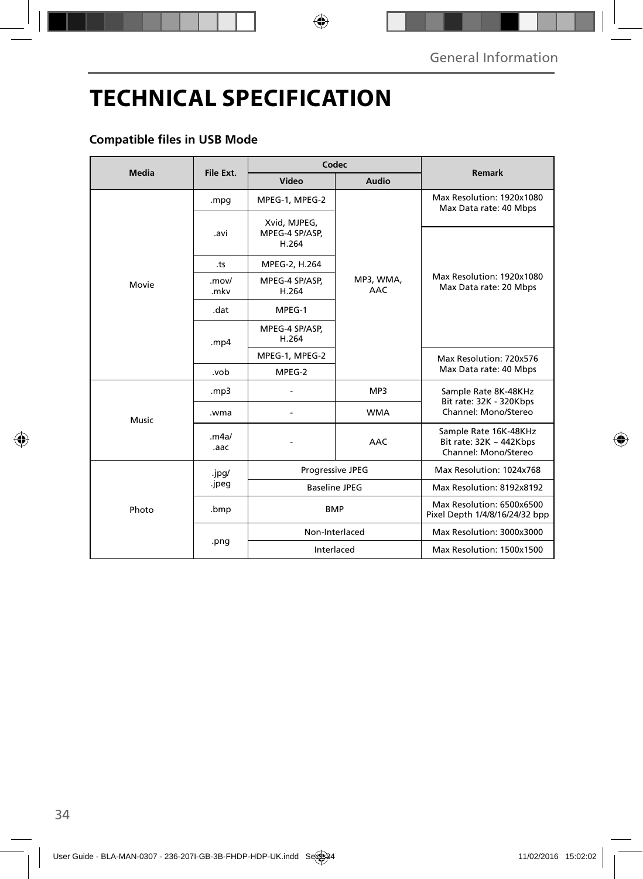# **TECHNICAL SPECIFICATION**

### **Compatible files in USB Mode**

| <b>Media</b> | File Ext.      | Codec                                   |                  |                                                                               |
|--------------|----------------|-----------------------------------------|------------------|-------------------------------------------------------------------------------|
|              |                | Video                                   | Audio            | <b>Remark</b>                                                                 |
| Movie        | .mpg           | MPEG-1, MPEG-2                          |                  | Max Resolution: 1920x1080<br>Max Data rate: 40 Mbps                           |
|              | .avi           | Xvid, MJPEG,<br>MPEG-4 SP/ASP,<br>H.264 | MP3, WMA,<br>AAC | Max Resolution: 1920x1080<br>Max Data rate: 20 Mbps                           |
|              | .ts            | MPEG-2, H.264                           |                  |                                                                               |
|              | .mov/<br>.mkv  | MPEG-4 SP/ASP,<br>H.264                 |                  |                                                                               |
|              | .dat           | MPEG-1                                  |                  |                                                                               |
|              | .mp4           | MPEG-4 SP/ASP,<br>H.264                 |                  |                                                                               |
|              |                | MPEG-1, MPEG-2                          |                  | Max Resolution: 720x576<br>Max Data rate: 40 Mbps                             |
|              | .vob           | MPEG-2                                  |                  |                                                                               |
| Music        | mp3.           |                                         | MP3              | Sample Rate 8K-48KHz<br>Bit rate: 32K - 320Kbps<br>Channel: Mono/Stereo       |
|              | .wma           |                                         | <b>WMA</b>       |                                                                               |
|              | .m4a/<br>.aac  |                                         | <b>AAC</b>       | Sample Rate 16K-48KHz<br>Bit rate: $32K \sim 442Kbps$<br>Channel: Mono/Stereo |
| Photo        | .jpg/<br>.jpeg | Progressive JPEG                        |                  | Max Resolution: 1024x768                                                      |
|              |                | <b>Baseline JPEG</b>                    |                  | Max Resolution: 8192x8192                                                     |
|              | .bmp           | <b>BMP</b>                              |                  | Max Resolution: 6500x6500<br>Pixel Depth 1/4/8/16/24/32 bpp                   |
|              | .png           | Non-Interlaced                          |                  | Max Resolution: 3000x3000                                                     |
|              |                | Interlaced                              |                  | Max Resolution: 1500x1500                                                     |